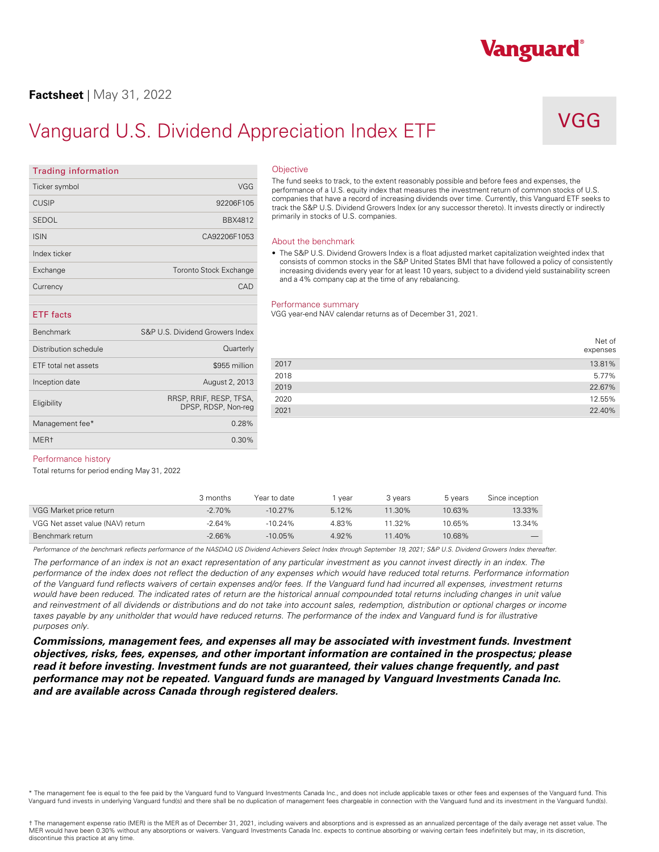### **Factsheet** | May 31, 2022

## Vanguard U.S. Dividend Appreciation Index ETF

## VGG

Vanguard®

| <b>Trading information</b> |                                                | Objective                 |
|----------------------------|------------------------------------------------|---------------------------|
| Ticker symbol              | VGG                                            | The fund se<br>performano |
| <b>CUSIP</b>               | 92206F105                                      | companies<br>track the S  |
| <b>SEDOL</b>               | BBX4812                                        | primarily in              |
| <b>ISIN</b>                | CA92206F1053                                   | About the                 |
| Index ticker               |                                                | $\bullet$ The S&P         |
| Exchange                   | <b>Toronto Stock Exchange</b>                  | consists<br>increasin     |
| Currency                   | CAD                                            | and a 4%                  |
| <b>ETF</b> facts           |                                                | Performar<br>VGG year-e   |
| <b>Benchmark</b>           | S&P U.S. Dividend Growers Index                |                           |
| Distribution schedule      | Quarterly                                      |                           |
| ETF total net assets       | \$955 million                                  | 2017                      |
| Inception date             | August 2, 2013                                 | 2018<br>2019              |
| Eligibility                | RRSP, RRIF, RESP, TFSA,<br>DPSP, RDSP, Non-reg | 2020<br>2021              |
| Management fee*            | 0.28%                                          |                           |

MER† 0.30%

### **Objective**

The fund seeks to track, to the extent reasonably possible and before fees and expenses, the performance of a U.S. equity index that measures the investment return of common stocks of U.S. companies that have a record of increasing dividends over time. Currently, this Vanguard ETF seeks to track the S&P U.S. Dividend Growers Index (or any successor thereto). It invests directly or indirectly primarily in stocks of U.S. companies.

### About the benchmark

• The S&P U.S. Dividend Growers Index is a float adjusted market capitalization weighted index that consists of common stocks in the S&P United States BMI that have followed a policy of consistently increasing dividends every year for at least 10 years, subject to a dividend yield sustainability screen and a 4% company cap at the time of any rebalancing.

#### Performance summary

VGG year-end NAV calendar returns as of December 31, 2021.

|      | Net of<br>expenses |
|------|--------------------|
| 2017 | 13.81%             |
| 2018 | 5.77%              |
| 2019 | 22.67%             |
| 2020 | 12.55%             |
| 2021 | 22.40%             |

### Performance history

Total returns for period ending May 31, 2022

|                                  | 3 months | Year to date | vear  | 3 vears   | 5 years | Since inception |
|----------------------------------|----------|--------------|-------|-----------|---------|-----------------|
| VGG Market price return          | $-2.70%$ | $-10.27\%$   | 5.12% | $11.30\%$ | 10.63%  | 13.33%          |
| VGG Net asset value (NAV) return | $-2.64%$ | $-10.24\%$   | 4.83% | 11.32%    | 10.65%  | 13.34%          |
| Benchmark return                 | $-2.66%$ | $-10.05\%$   | 4.92% | 11.40%    | 10.68%  |                 |

Performance of the benchmark reflects performance of the NASDAQ US Dividend Achievers Select Index through September 19, 2021; S&P U.S. Dividend Growers Index thereafter.

*The performance of an index is not an exact representation of any particular investment as you cannot invest directly in an index. The performance of the index does not reflect the deduction of any expenses which would have reduced total returns. Performance information of the Vanguard fund reflects waivers of certain expenses and/or fees. If the Vanguard fund had incurred all expenses, investment returns*  would have been reduced. The indicated rates of return are the historical annual compounded total returns including changes in unit value and reinvestment of all dividends or distributions and do not take into account sales, redemption, distribution or optional charges or income taxes payable by any unitholder that would have reduced returns. The performance of the index and Vanguard fund is for illustrative *purposes only.* 

*Commissions, management fees, and expenses all may be associated with investment funds. Investment objectives, risks, fees, expenses, and other important information are contained in the prospectus; please read it before investing. Investment funds are not guaranteed, their values change frequently, and past performance may not be repeated. Vanguard funds are managed by Vanguard Investments Canada Inc. and are available across Canada through registered dealers.* 

\* The management fee is equal to the fee paid by the Vanguard fund to Vanguard Investments Canada Inc., and does not include applicable taxes or other fees and expenses of the Vanguard fund. This<br>Vanguard fund invests in u